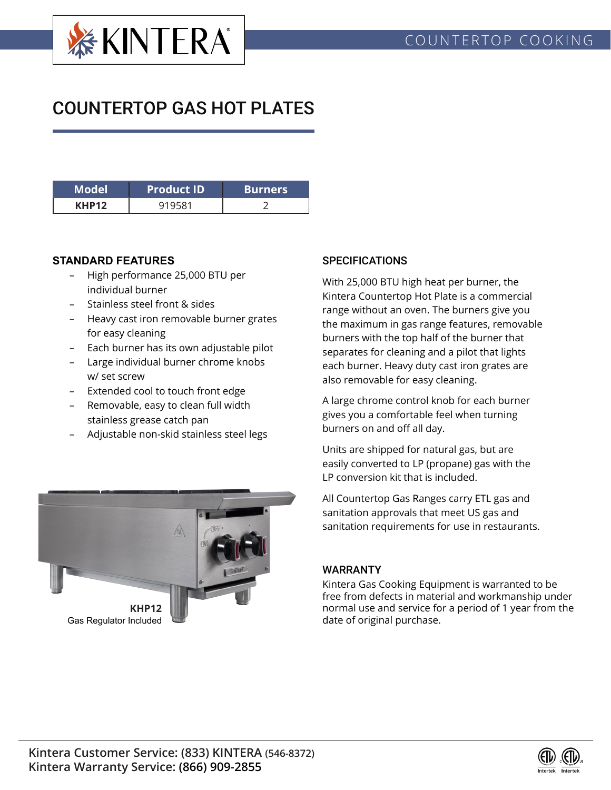

## COUNTERTOP GAS HOT PLATES

| Model | <b>Product ID</b> | <b>Burners</b> |  |  |
|-------|-------------------|----------------|--|--|
| KHP12 |                   |                |  |  |

## **STANDARD FEATURES**

- High performance 25,000 BTU per individual burner
- Stainless steel front & sides
- Heavy cast iron removable burner grates for easy cleaning
- Each burner has its own adjustable pilot
- Large individual burner chrome knobs w/ set screw
- Extended cool to touch front edge
- Removable, easy to clean full width stainless grease catch pan
- Adjustable non-skid stainless steel legs

## **SPECIFICATIONS**

With 25,000 BTU high heat per burner, the Kintera Countertop Hot Plate is a commercial range without an oven. The burners give you the maximum in gas range features, removable burners with the top half of the burner that separates for cleaning and a pilot that lights each burner. Heavy duty cast iron grates are also removable for easy cleaning.

A large chrome control knob for each burner gives you a comfortable feel when turning burners on and off all day.

Units are shipped for natural gas, but are easily converted to LP (propane) gas with the LP conversion kit that is included.

All Countertop Gas Ranges carry ETL gas and sanitation approvals that meet US gas and sanitation requirements for use in restaurants.

## WARRANTY

Kintera Gas Cooking Equipment is warranted to be free from defects in material and workmanship under normal use and service for a period of 1 year from the date of original purchase.